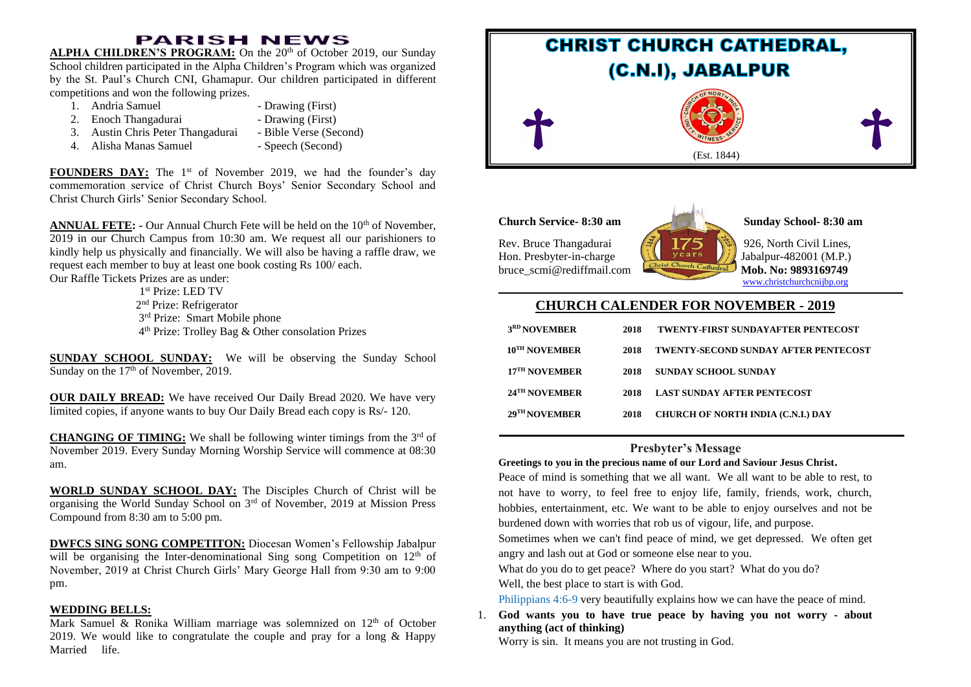# **PARISH NEWS**

ALPHA CHILDREN'S PROGRAM: On the 20<sup>th</sup> of October 2019, our Sunday School children participated in the Alpha Children's Program which was organized by the St. Paul's Church CNI, Ghamapur. Our children participated in different competitions and won the following prizes.

- 
- 1. Andria Samuel Drawing (First)
- 2. Enoch Thangadurai Drawing (First)
- 
- 3. Austin Chris Peter Thangadurai Bible Verse (Second)
- 4. Alisha Manas Samuel Speech (Second)

**FOUNDERS DAY:** The 1<sup>st</sup> of November 2019, we had the founder's day commemoration service of Christ Church Boys' Senior Secondary School and Christ Church Girls' Senior Secondary School.

**ANNUAL FETE:** - Our Annual Church Fete will be held on the 10<sup>th</sup> of November, 2019 in our Church Campus from 10:30 am. We request all our parishioners to kindly help us physically and financially. We will also be having a raffle draw, we request each member to buy at least one book costing Rs 100/ each.

Our Raffle Tickets Prizes are as under:

 1 1<sup>st</sup> Prize: LED TV 2<sup>nd</sup> Prize: Refrigerator 3 rd Prize: Smart Mobile phone 4 th Prize: Trolley Bag & Other consolation Prizes

**SUNDAY SCHOOL SUNDAY:** We will be observing the Sunday School Sunday on the 17<sup>th</sup> of November, 2019.

**OUR DAILY BREAD:** We have received Our Daily Bread 2020. We have very limited copies, if anyone wants to buy Our Daily Bread each copy is Rs/- 120.

**CHANGING OF TIMING:** We shall be following winter timings from the  $3<sup>rd</sup>$  of November 2019. Every Sunday Morning Worship Service will commence at 08:30 am.

**WORLD SUNDAY SCHOOL DAY:** The Disciples Church of Christ will be organising the World Sunday School on 3rd of November, 2019 at Mission Press Compound from 8:30 am to 5:00 pm.

**DWFCS SING SONG COMPETITON:** Diocesan Women's Fellowship Jabalpur will be organising the Inter-denominational Sing song Competition on  $12<sup>th</sup>$  of November, 2019 at Christ Church Girls' Mary George Hall from 9:30 am to 9:00 pm.

#### **WEDDING BELLS:**

Mark Samuel & Ronika William marriage was solemnized on  $12<sup>th</sup>$  of October 2019. We would like to congratulate the couple and pray for a long & Happy Married life.



Rev. Bruce Thangadurai  $\sqrt{\frac{3}{4}}$  175 \ 926, North Civil Lines, Hon. Presbyter-in-charge  $\left[\frac{1}{\sqrt{2\pi}}\right]$  Jabalpur-482001 (M.P.) bruce scmi@rediffmail.com

**Church Service- 8:30 am Sunday School- 8:30 am**

[www.christchurchcnijbp.org](http://www.christchurchcnijbp.org/)

### **CHURCH CALENDER FOR NOVEMBER - 2019**

| 3 <sup>RD</sup> NOVEMBER    | 2018 | <b>TWENTY-FIRST SUNDAYAFTER PENTECOST</b>   |
|-----------------------------|------|---------------------------------------------|
| 10 <sup>TH</sup> NOVEMBER   | 2018 | <b>TWENTY-SECOND SUNDAY AFTER PENTECOST</b> |
| 17 <sup>TH</sup> NOVEMBER   | 2018 | <b>SUNDAY SCHOOL SUNDAY</b>                 |
| $24$ <sup>TH</sup> NOVEMBER | 2018 | <b>LAST SUNDAY AFTER PENTECOST</b>          |
| 29 <sup>TH</sup> NOVEMBER   | 2018 | <b>CHURCH OF NORTH INDIA (C.N.L.) DAY</b>   |
|                             |      |                                             |

### **Presbyter's Message**

#### **Greetings to you in the precious name of our Lord and Saviour Jesus Christ.**

Peace of mind is something that we all want. We all want to be able to rest, to not have to worry, to feel free to enjoy life, family, friends, work, church, hobbies, entertainment, etc. We want to be able to enjoy ourselves and not be burdened down with worries that rob us of vigour, life, and purpose.

Sometimes when we can't find peace of mind, we get depressed. We often get angry and lash out at God or someone else near to you.

What do you do to get peace? Where do you start? What do you do? Well, the best place to start is with God.

[Philippians 4:6-9](https://biblia.com/bible/nasb95/Phil%204.6-9) very beautifully explains how we can have the peace of mind.

1. **God wants you to have true peace by having you not worry - about anything (act of thinking)**

Worry is sin. It means you are not trusting in God.